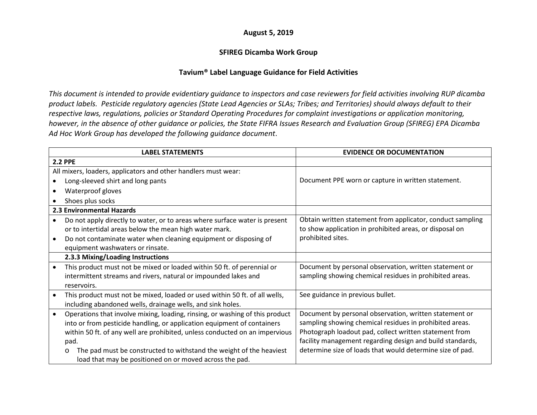## **August 5, 2019**

## **SFIREG Dicamba Work Group**

## **Tavium® Label Language Guidance for Field Activities**

*This document is intended to provide evidentiary guidance to inspectors and case reviewers for field activities involving RUP dicamba product labels. Pesticide regulatory agencies (State Lead Agencies or SLAs; Tribes; and Territories) should always default to their respective laws, regulations, policies or Standard Operating Procedures for complaint investigations or application monitoring, however, in the absence of other guidance or policies, the State FIFRA Issues Research and Evaluation Group (SFIREG) EPA Dicamba Ad Hoc Work Group has developed the following guidance document*.

|           | <b>LABEL STATEMENTS</b>                                                        | <b>EVIDENCE OR DOCUMENTATION</b>                           |
|-----------|--------------------------------------------------------------------------------|------------------------------------------------------------|
|           | <b>2.2 PPE</b>                                                                 |                                                            |
|           | All mixers, loaders, applicators and other handlers must wear:                 |                                                            |
|           | Long-sleeved shirt and long pants                                              | Document PPE worn or capture in written statement.         |
|           | Waterproof gloves                                                              |                                                            |
|           | Shoes plus socks                                                               |                                                            |
|           | 2.3 Environmental Hazards                                                      |                                                            |
|           | Do not apply directly to water, or to areas where surface water is present     | Obtain written statement from applicator, conduct sampling |
|           | or to intertidal areas below the mean high water mark.                         | to show application in prohibited areas, or disposal on    |
|           | Do not contaminate water when cleaning equipment or disposing of               | prohibited sites.                                          |
|           | equipment washwaters or rinsate.                                               |                                                            |
|           | 2.3.3 Mixing/Loading Instructions                                              |                                                            |
|           | This product must not be mixed or loaded within 50 ft. of perennial or         | Document by personal observation, written statement or     |
|           | intermittent streams and rivers, natural or impounded lakes and                | sampling showing chemical residues in prohibited areas.    |
|           | reservoirs.                                                                    |                                                            |
| $\bullet$ | This product must not be mixed, loaded or used within 50 ft. of all wells,     | See guidance in previous bullet.                           |
|           | including abandoned wells, drainage wells, and sink holes.                     |                                                            |
| $\bullet$ | Operations that involve mixing, loading, rinsing, or washing of this product   | Document by personal observation, written statement or     |
|           | into or from pesticide handling, or application equipment of containers        | sampling showing chemical residues in prohibited areas.    |
|           | within 50 ft. of any well are prohibited, unless conducted on an impervious    | Photograph loadout pad, collect written statement from     |
|           | pad.                                                                           | facility management regarding design and build standards,  |
|           | The pad must be constructed to withstand the weight of the heaviest<br>$\circ$ | determine size of loads that would determine size of pad.  |
|           | load that may be positioned on or moved across the pad.                        |                                                            |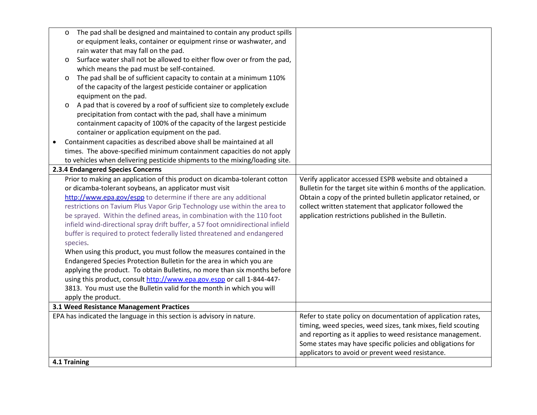| $\circ$      | The pad shall be designed and maintained to contain any product spills         |                                                                  |
|--------------|--------------------------------------------------------------------------------|------------------------------------------------------------------|
|              | or equipment leaks, container or equipment rinse or washwater, and             |                                                                  |
|              | rain water that may fall on the pad.                                           |                                                                  |
| $\circ$      | Surface water shall not be allowed to either flow over or from the pad,        |                                                                  |
|              | which means the pad must be self-contained.                                    |                                                                  |
| $\circ$      | The pad shall be of sufficient capacity to contain at a minimum 110%           |                                                                  |
|              | of the capacity of the largest pesticide container or application              |                                                                  |
|              | equipment on the pad.                                                          |                                                                  |
| $\circ$      | A pad that is covered by a roof of sufficient size to completely exclude       |                                                                  |
|              | precipitation from contact with the pad, shall have a minimum                  |                                                                  |
|              | containment capacity of 100% of the capacity of the largest pesticide          |                                                                  |
|              | container or application equipment on the pad.                                 |                                                                  |
|              | Containment capacities as described above shall be maintained at all           |                                                                  |
|              | times. The above-specified minimum containment capacities do not apply         |                                                                  |
|              | to vehicles when delivering pesticide shipments to the mixing/loading site.    |                                                                  |
|              | 2.3.4 Endangered Species Concerns                                              |                                                                  |
|              | Prior to making an application of this product on dicamba-tolerant cotton      | Verify applicator accessed ESPB website and obtained a           |
|              | or dicamba-tolerant soybeans, an applicator must visit                         | Bulletin for the target site within 6 months of the application. |
|              | http://www.epa.gov/espp to determine if there are any additional               | Obtain a copy of the printed bulletin applicator retained, or    |
|              | restrictions on Tavium Plus Vapor Grip Technology use within the area to       | collect written statement that applicator followed the           |
|              | be sprayed. Within the defined areas, in combination with the 110 foot         | application restrictions published in the Bulletin.              |
|              | infield wind-directional spray drift buffer, a 57 foot omnidirectional infield |                                                                  |
|              | buffer is required to protect federally listed threatened and endangered       |                                                                  |
|              | species.                                                                       |                                                                  |
|              | When using this product, you must follow the measures contained in the         |                                                                  |
|              | Endangered Species Protection Bulletin for the area in which you are           |                                                                  |
|              | applying the product. To obtain Bulletins, no more than six months before      |                                                                  |
|              | using this product, consult http://www.epa.gov.espp or call 1-844-447-         |                                                                  |
|              | 3813. You must use the Bulletin valid for the month in which you will          |                                                                  |
|              | apply the product.                                                             |                                                                  |
|              | 3.1 Weed Resistance Management Practices                                       |                                                                  |
|              | EPA has indicated the language in this section is advisory in nature.          | Refer to state policy on documentation of application rates,     |
|              |                                                                                | timing, weed species, weed sizes, tank mixes, field scouting     |
|              |                                                                                | and reporting as it applies to weed resistance management.       |
|              |                                                                                | Some states may have specific policies and obligations for       |
|              |                                                                                | applicators to avoid or prevent weed resistance.                 |
| 4.1 Training |                                                                                |                                                                  |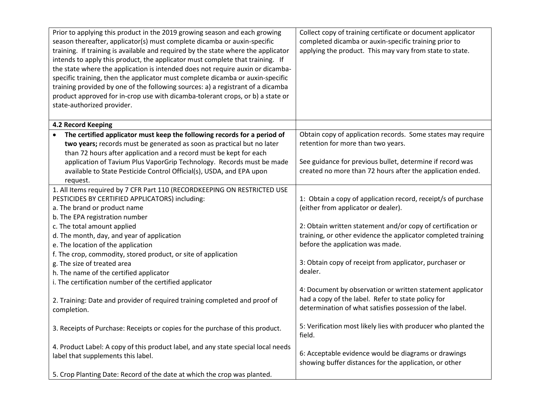| Prior to applying this product in the 2019 growing season and each growing<br>season thereafter, applicator(s) must complete dicamba or auxin-specific<br>training. If training is available and required by the state where the applicator<br>intends to apply this product, the applicator must complete that training. If<br>the state where the application is intended does not require auxin or dicamba-<br>specific training, then the applicator must complete dicamba or auxin-specific<br>training provided by one of the following sources: a) a registrant of a dicamba | Collect copy of training certificate or document applicator<br>completed dicamba or auxin-specific training prior to<br>applying the product. This may vary from state to state. |
|-------------------------------------------------------------------------------------------------------------------------------------------------------------------------------------------------------------------------------------------------------------------------------------------------------------------------------------------------------------------------------------------------------------------------------------------------------------------------------------------------------------------------------------------------------------------------------------|----------------------------------------------------------------------------------------------------------------------------------------------------------------------------------|
| product approved for in-crop use with dicamba-tolerant crops, or b) a state or<br>state-authorized provider.                                                                                                                                                                                                                                                                                                                                                                                                                                                                        |                                                                                                                                                                                  |
| 4.2 Record Keeping                                                                                                                                                                                                                                                                                                                                                                                                                                                                                                                                                                  |                                                                                                                                                                                  |
| The certified applicator must keep the following records for a period of<br>two years; records must be generated as soon as practical but no later<br>than 72 hours after application and a record must be kept for each                                                                                                                                                                                                                                                                                                                                                            | Obtain copy of application records. Some states may require<br>retention for more than two years.                                                                                |
| application of Tavium Plus VaporGrip Technology. Records must be made<br>available to State Pesticide Control Official(s), USDA, and EPA upon<br>request.                                                                                                                                                                                                                                                                                                                                                                                                                           | See guidance for previous bullet, determine if record was<br>created no more than 72 hours after the application ended.                                                          |
| 1. All Items required by 7 CFR Part 110 (RECORDKEEPING ON RESTRICTED USE                                                                                                                                                                                                                                                                                                                                                                                                                                                                                                            |                                                                                                                                                                                  |
| PESTICIDES BY CERTIFIED APPLICATORS) including:                                                                                                                                                                                                                                                                                                                                                                                                                                                                                                                                     | 1: Obtain a copy of application record, receipt/s of purchase                                                                                                                    |
| a. The brand or product name                                                                                                                                                                                                                                                                                                                                                                                                                                                                                                                                                        | (either from applicator or dealer).                                                                                                                                              |
| b. The EPA registration number                                                                                                                                                                                                                                                                                                                                                                                                                                                                                                                                                      |                                                                                                                                                                                  |
| c. The total amount applied                                                                                                                                                                                                                                                                                                                                                                                                                                                                                                                                                         | 2: Obtain written statement and/or copy of certification or                                                                                                                      |
| d. The month, day, and year of application                                                                                                                                                                                                                                                                                                                                                                                                                                                                                                                                          | training, or other evidence the applicator completed training                                                                                                                    |
| e. The location of the application                                                                                                                                                                                                                                                                                                                                                                                                                                                                                                                                                  | before the application was made.                                                                                                                                                 |
| f. The crop, commodity, stored product, or site of application                                                                                                                                                                                                                                                                                                                                                                                                                                                                                                                      |                                                                                                                                                                                  |
| g. The size of treated area                                                                                                                                                                                                                                                                                                                                                                                                                                                                                                                                                         | 3: Obtain copy of receipt from applicator, purchaser or                                                                                                                          |
| h. The name of the certified applicator                                                                                                                                                                                                                                                                                                                                                                                                                                                                                                                                             | dealer.                                                                                                                                                                          |
| i. The certification number of the certified applicator                                                                                                                                                                                                                                                                                                                                                                                                                                                                                                                             |                                                                                                                                                                                  |
| 2. Training: Date and provider of required training completed and proof of<br>completion.                                                                                                                                                                                                                                                                                                                                                                                                                                                                                           | 4: Document by observation or written statement applicator<br>had a copy of the label. Refer to state policy for<br>determination of what satisfies possession of the label.     |
| 3. Receipts of Purchase: Receipts or copies for the purchase of this product.                                                                                                                                                                                                                                                                                                                                                                                                                                                                                                       | 5: Verification most likely lies with producer who planted the<br>field.                                                                                                         |
| 4. Product Label: A copy of this product label, and any state special local needs<br>label that supplements this label.                                                                                                                                                                                                                                                                                                                                                                                                                                                             | 6: Acceptable evidence would be diagrams or drawings<br>showing buffer distances for the application, or other                                                                   |
| 5. Crop Planting Date: Record of the date at which the crop was planted.                                                                                                                                                                                                                                                                                                                                                                                                                                                                                                            |                                                                                                                                                                                  |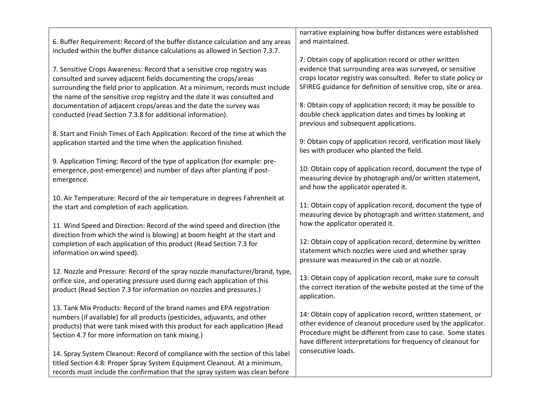| 6. Buffer Requirement: Record of the buffer distance calculation and any areas<br>included within the buffer distance calculations as allowed in Section 7.3.7.                                                                                                                                            | narrative explaining how buffer distances were established<br>and maintained.                                                                                                                                                                               |
|------------------------------------------------------------------------------------------------------------------------------------------------------------------------------------------------------------------------------------------------------------------------------------------------------------|-------------------------------------------------------------------------------------------------------------------------------------------------------------------------------------------------------------------------------------------------------------|
|                                                                                                                                                                                                                                                                                                            | 7: Obtain copy of application record or other written                                                                                                                                                                                                       |
| 7. Sensitive Crops Awareness: Record that a sensitive crop registry was<br>consulted and survey adjacent fields documenting the crops/areas<br>surrounding the field prior to application. At a minimum, records must include<br>the name of the sensitive crop registry and the date it was consulted and | evidence that surrounding area was surveyed, or sensitive<br>crops locator registry was consulted. Refer to state policy or<br>SFIREG guidance for definition of sensitive crop, site or area.                                                              |
| documentation of adjacent crops/areas and the date the survey was<br>conducted (read Section 7.3.8 for additional information).                                                                                                                                                                            | 8: Obtain copy of application record; it may be possible to<br>double check application dates and times by looking at<br>previous and subsequent applications.                                                                                              |
| 8. Start and Finish Times of Each Application: Record of the time at which the<br>application started and the time when the application finished.                                                                                                                                                          | 9: Obtain copy of application record, verification most likely<br>lies with producer who planted the field.                                                                                                                                                 |
| 9. Application Timing: Record of the type of application (for example: pre-<br>emergence, post-emergence) and number of days after planting if post-<br>emergence.                                                                                                                                         | 10: Obtain copy of application record, document the type of<br>measuring device by photograph and/or written statement,<br>and how the applicator operated it.                                                                                              |
| 10. Air Temperature: Record of the air temperature in degrees Fahrenheit at<br>the start and completion of each application.                                                                                                                                                                               | 11: Obtain copy of application record, document the type of<br>measuring device by photograph and written statement, and<br>how the applicator operated it.                                                                                                 |
| 11. Wind Speed and Direction: Record of the wind speed and direction (the<br>direction from which the wind is blowing) at boom height at the start and<br>completion of each application of this product (Read Section 7.3 for<br>information on wind speed).                                              | 12: Obtain copy of application record, determine by written<br>statement which nozzles were used and whether spray<br>pressure was measured in the cab or at nozzle.                                                                                        |
| 12. Nozzle and Pressure: Record of the spray nozzle manufacturer/brand, type,<br>orifice size, and operating pressure used during each application of this<br>product (Read Section 7.3 for information on nozzles and pressures.)                                                                         | 13: Obtain copy of application record, make sure to consult<br>the correct iteration of the website posted at the time of the<br>application.                                                                                                               |
| 13. Tank Mix Products: Record of the brand names and EPA registration<br>numbers (if available) for all products (pesticides, adjuvants, and other<br>products) that were tank mixed with this product for each application (Read<br>Section 4.7 for more information on tank mixing.)                     | 14: Obtain copy of application record, written statement, or<br>other evidence of cleanout procedure used by the applicator.<br>Procedure might be different from case to case. Some states<br>have different interpretations for frequency of cleanout for |
| 14. Spray System Cleanout: Record of compliance with the section of this label<br>titled Section 4.8: Proper Spray System Equipment Cleanout. At a minimum,<br>records must include the confirmation that the spray system was clean before                                                                | consecutive loads.                                                                                                                                                                                                                                          |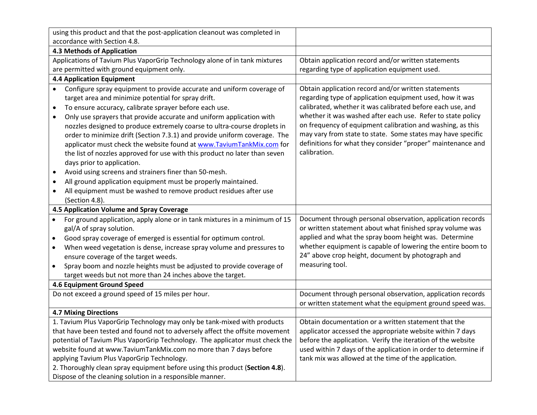| using this product and that the post-application cleanout was completed in |                                                                                                                                           |                                                                                                                 |
|----------------------------------------------------------------------------|-------------------------------------------------------------------------------------------------------------------------------------------|-----------------------------------------------------------------------------------------------------------------|
| accordance with Section 4.8.                                               |                                                                                                                                           |                                                                                                                 |
| 4.3 Methods of Application                                                 |                                                                                                                                           |                                                                                                                 |
| Applications of Tavium Plus VaporGrip Technology alone of in tank mixtures |                                                                                                                                           | Obtain application record and/or written statements                                                             |
| are permitted with ground equipment only.                                  |                                                                                                                                           | regarding type of application equipment used.                                                                   |
|                                                                            | <b>4.4 Application Equipment</b>                                                                                                          |                                                                                                                 |
|                                                                            | Configure spray equipment to provide accurate and uniform coverage of<br>target area and minimize potential for spray drift.              | Obtain application record and/or written statements<br>regarding type of application equipment used, how it was |
| $\bullet$                                                                  | To ensure accuracy, calibrate sprayer before each use.                                                                                    | calibrated, whether it was calibrated before each use, and                                                      |
| $\bullet$                                                                  | Only use sprayers that provide accurate and uniform application with                                                                      | whether it was washed after each use. Refer to state policy                                                     |
|                                                                            | nozzles designed to produce extremely coarse to ultra-course droplets in                                                                  | on frequency of equipment calibration and washing, as this                                                      |
|                                                                            | order to minimize drift (Section 7.3.1) and provide uniform coverage. The                                                                 | may vary from state to state. Some states may have specific                                                     |
|                                                                            | applicator must check the website found at www.TaviumTankMix.com for                                                                      | definitions for what they consider "proper" maintenance and                                                     |
|                                                                            | the list of nozzles approved for use with this product no later than seven                                                                | calibration.                                                                                                    |
|                                                                            | days prior to application.                                                                                                                |                                                                                                                 |
| $\bullet$                                                                  | Avoid using screens and strainers finer than 50-mesh.                                                                                     |                                                                                                                 |
|                                                                            | All ground application equipment must be properly maintained.                                                                             |                                                                                                                 |
| $\bullet$                                                                  | All equipment must be washed to remove product residues after use                                                                         |                                                                                                                 |
|                                                                            | (Section 4.8).                                                                                                                            |                                                                                                                 |
|                                                                            |                                                                                                                                           |                                                                                                                 |
|                                                                            | 4.5 Application Volume and Spray Coverage                                                                                                 |                                                                                                                 |
| $\bullet$                                                                  | For ground application, apply alone or in tank mixtures in a minimum of 15                                                                | Document through personal observation, application records                                                      |
|                                                                            | gal/A of spray solution.                                                                                                                  | or written statement about what finished spray volume was                                                       |
| $\bullet$                                                                  | Good spray coverage of emerged is essential for optimum control.                                                                          | applied and what the spray boom height was. Determine                                                           |
|                                                                            | When weed vegetation is dense, increase spray volume and pressures to                                                                     | whether equipment is capable of lowering the entire boom to                                                     |
|                                                                            | ensure coverage of the target weeds.                                                                                                      | 24" above crop height, document by photograph and                                                               |
| $\bullet$                                                                  | Spray boom and nozzle heights must be adjusted to provide coverage of                                                                     | measuring tool.                                                                                                 |
|                                                                            | target weeds but not more than 24 inches above the target.                                                                                |                                                                                                                 |
|                                                                            | 4.6 Equipment Ground Speed                                                                                                                |                                                                                                                 |
|                                                                            | Do not exceed a ground speed of 15 miles per hour.                                                                                        | Document through personal observation, application records                                                      |
|                                                                            |                                                                                                                                           | or written statement what the equipment ground speed was.                                                       |
|                                                                            | <b>4.7 Mixing Directions</b>                                                                                                              |                                                                                                                 |
|                                                                            | 1. Tavium Plus VaporGrip Technology may only be tank-mixed with products                                                                  | Obtain documentation or a written statement that the                                                            |
|                                                                            | that have been tested and found not to adversely affect the offsite movement                                                              | applicator accessed the appropriate website within 7 days                                                       |
|                                                                            | potential of Tavium Plus VaporGrip Technology. The applicator must check the                                                              | before the application. Verify the iteration of the website                                                     |
|                                                                            | website found at www.TaviumTankMix.com no more than 7 days before                                                                         | used within 7 days of the application in order to determine if                                                  |
|                                                                            | applying Tavium Plus VaporGrip Technology.                                                                                                | tank mix was allowed at the time of the application.                                                            |
|                                                                            | 2. Thoroughly clean spray equipment before using this product (Section 4.8).<br>Dispose of the cleaning solution in a responsible manner. |                                                                                                                 |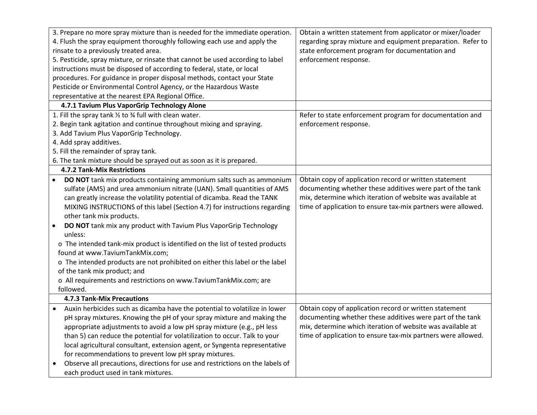| 3. Prepare no more spray mixture than is needed for the immediate operation.               | Obtain a written statement from applicator or mixer/loader   |
|--------------------------------------------------------------------------------------------|--------------------------------------------------------------|
| 4. Flush the spray equipment thoroughly following each use and apply the                   | regarding spray mixture and equipment preparation. Refer to  |
| rinsate to a previously treated area.                                                      | state enforcement program for documentation and              |
| 5. Pesticide, spray mixture, or rinsate that cannot be used according to label             | enforcement response.                                        |
| instructions must be disposed of according to federal, state, or local                     |                                                              |
| procedures. For guidance in proper disposal methods, contact your State                    |                                                              |
| Pesticide or Environmental Control Agency, or the Hazardous Waste                          |                                                              |
| representative at the nearest EPA Regional Office.                                         |                                                              |
| 4.7.1 Tavium Plus VaporGrip Technology Alone                                               |                                                              |
| 1. Fill the spray tank 1/2 to 3/4 full with clean water.                                   | Refer to state enforcement program for documentation and     |
| 2. Begin tank agitation and continue throughout mixing and spraying.                       | enforcement response.                                        |
| 3. Add Tavium Plus VaporGrip Technology.                                                   |                                                              |
| 4. Add spray additives.                                                                    |                                                              |
| 5. Fill the remainder of spray tank.                                                       |                                                              |
| 6. The tank mixture should be sprayed out as soon as it is prepared.                       |                                                              |
| <b>4.7.2 Tank-Mix Restrictions</b>                                                         |                                                              |
| DO NOT tank mix products containing ammonium salts such as ammonium                        | Obtain copy of application record or written statement       |
| sulfate (AMS) and urea ammonium nitrate (UAN). Small quantities of AMS                     | documenting whether these additives were part of the tank    |
| can greatly increase the volatility potential of dicamba. Read the TANK                    | mix, determine which iteration of website was available at   |
| MIXING INSTRUCTIONS of this label (Section 4.7) for instructions regarding                 | time of application to ensure tax-mix partners were allowed. |
| other tank mix products.                                                                   |                                                              |
| DO NOT tank mix any product with Tavium Plus VaporGrip Technology<br>$\bullet$             |                                                              |
| unless:                                                                                    |                                                              |
| o The intended tank-mix product is identified on the list of tested products               |                                                              |
| found at www.TaviumTankMix.com;                                                            |                                                              |
| o The intended products are not prohibited on either this label or the label               |                                                              |
| of the tank mix product; and                                                               |                                                              |
| o All requirements and restrictions on www.TaviumTankMix.com; are                          |                                                              |
| followed.                                                                                  |                                                              |
| <b>4.7.3 Tank-Mix Precautions</b>                                                          |                                                              |
| Auxin herbicides such as dicamba have the potential to volatilize in lower                 | Obtain copy of application record or written statement       |
| pH spray mixtures. Knowing the pH of your spray mixture and making the                     | documenting whether these additives were part of the tank    |
| appropriate adjustments to avoid a low pH spray mixture (e.g., pH less                     | mix, determine which iteration of website was available at   |
| than 5) can reduce the potential for volatilization to occur. Talk to your                 | time of application to ensure tax-mix partners were allowed. |
| local agricultural consultant, extension agent, or Syngenta representative                 |                                                              |
| for recommendations to prevent low pH spray mixtures.                                      |                                                              |
| Observe all precautions, directions for use and restrictions on the labels of<br>$\bullet$ |                                                              |
| each product used in tank mixtures.                                                        |                                                              |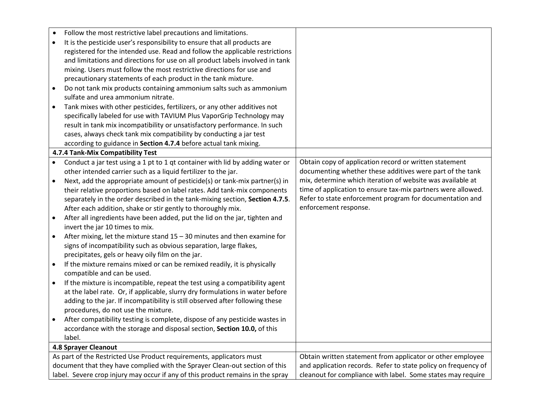| $\bullet$ | Follow the most restrictive label precautions and limitations.                  |                                                                |
|-----------|---------------------------------------------------------------------------------|----------------------------------------------------------------|
| $\bullet$ | It is the pesticide user's responsibility to ensure that all products are       |                                                                |
|           | registered for the intended use. Read and follow the applicable restrictions    |                                                                |
|           | and limitations and directions for use on all product labels involved in tank   |                                                                |
|           | mixing. Users must follow the most restrictive directions for use and           |                                                                |
|           | precautionary statements of each product in the tank mixture.                   |                                                                |
|           | Do not tank mix products containing ammonium salts such as ammonium             |                                                                |
|           | sulfate and urea ammonium nitrate.                                              |                                                                |
|           |                                                                                 |                                                                |
| $\bullet$ | Tank mixes with other pesticides, fertilizers, or any other additives not       |                                                                |
|           | specifically labeled for use with TAVIUM Plus VaporGrip Technology may          |                                                                |
|           | result in tank mix incompatibility or unsatisfactory performance. In such       |                                                                |
|           | cases, always check tank mix compatibility by conducting a jar test             |                                                                |
|           | according to guidance in Section 4.7.4 before actual tank mixing.               |                                                                |
|           | 4.7.4 Tank-Mix Compatibility Test                                               |                                                                |
|           | Conduct a jar test using a 1 pt to 1 qt container with lid by adding water or   | Obtain copy of application record or written statement         |
|           | other intended carrier such as a liquid fertilizer to the jar.                  | documenting whether these additives were part of the tank      |
| $\bullet$ | Next, add the appropriate amount of pesticide(s) or tank-mix partner(s) in      | mix, determine which iteration of website was available at     |
|           | their relative proportions based on label rates. Add tank-mix components        | time of application to ensure tax-mix partners were allowed.   |
|           | separately in the order described in the tank-mixing section, Section 4.7.5.    | Refer to state enforcement program for documentation and       |
|           | After each addition, shake or stir gently to thoroughly mix.                    | enforcement response.                                          |
| $\bullet$ | After all ingredients have been added, put the lid on the jar, tighten and      |                                                                |
|           | invert the jar 10 times to mix.                                                 |                                                                |
| $\bullet$ | After mixing, let the mixture stand $15 - 30$ minutes and then examine for      |                                                                |
|           | signs of incompatibility such as obvious separation, large flakes,              |                                                                |
|           | precipitates, gels or heavy oily film on the jar.                               |                                                                |
| $\bullet$ | If the mixture remains mixed or can be remixed readily, it is physically        |                                                                |
|           | compatible and can be used.                                                     |                                                                |
| $\bullet$ | If the mixture is incompatible, repeat the test using a compatibility agent     |                                                                |
|           | at the label rate. Or, if applicable, slurry dry formulations in water before   |                                                                |
|           | adding to the jar. If incompatibility is still observed after following these   |                                                                |
|           | procedures, do not use the mixture.                                             |                                                                |
| $\bullet$ | After compatibility testing is complete, dispose of any pesticide wastes in     |                                                                |
|           | accordance with the storage and disposal section, Section 10.0, of this         |                                                                |
|           | label.                                                                          |                                                                |
|           | <b>4.8 Sprayer Cleanout</b>                                                     |                                                                |
|           | As part of the Restricted Use Product requirements, applicators must            | Obtain written statement from applicator or other employee     |
|           | document that they have complied with the Sprayer Clean-out section of this     | and application records. Refer to state policy on frequency of |
|           | label. Severe crop injury may occur if any of this product remains in the spray | cleanout for compliance with label. Some states may require    |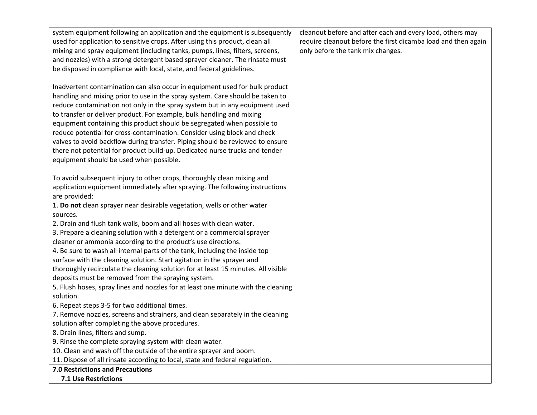| system equipment following an application and the equipment is subsequently       | cleanout before and after each and every load, others may     |
|-----------------------------------------------------------------------------------|---------------------------------------------------------------|
| used for application to sensitive crops. After using this product, clean all      | require cleanout before the first dicamba load and then again |
| mixing and spray equipment (including tanks, pumps, lines, filters, screens,      | only before the tank mix changes.                             |
| and nozzles) with a strong detergent based sprayer cleaner. The rinsate must      |                                                               |
| be disposed in compliance with local, state, and federal guidelines.              |                                                               |
|                                                                                   |                                                               |
| Inadvertent contamination can also occur in equipment used for bulk product       |                                                               |
| handling and mixing prior to use in the spray system. Care should be taken to     |                                                               |
| reduce contamination not only in the spray system but in any equipment used       |                                                               |
| to transfer or deliver product. For example, bulk handling and mixing             |                                                               |
| equipment containing this product should be segregated when possible to           |                                                               |
| reduce potential for cross-contamination. Consider using block and check          |                                                               |
| valves to avoid backflow during transfer. Piping should be reviewed to ensure     |                                                               |
| there not potential for product build-up. Dedicated nurse trucks and tender       |                                                               |
| equipment should be used when possible.                                           |                                                               |
|                                                                                   |                                                               |
| To avoid subsequent injury to other crops, thoroughly clean mixing and            |                                                               |
| application equipment immediately after spraying. The following instructions      |                                                               |
| are provided:                                                                     |                                                               |
| 1. Do not clean sprayer near desirable vegetation, wells or other water           |                                                               |
| sources.                                                                          |                                                               |
| 2. Drain and flush tank walls, boom and all hoses with clean water.               |                                                               |
| 3. Prepare a cleaning solution with a detergent or a commercial sprayer           |                                                               |
| cleaner or ammonia according to the product's use directions.                     |                                                               |
| 4. Be sure to wash all internal parts of the tank, including the inside top       |                                                               |
| surface with the cleaning solution. Start agitation in the sprayer and            |                                                               |
| thoroughly recirculate the cleaning solution for at least 15 minutes. All visible |                                                               |
| deposits must be removed from the spraying system.                                |                                                               |
| 5. Flush hoses, spray lines and nozzles for at least one minute with the cleaning |                                                               |
| solution.                                                                         |                                                               |
| 6. Repeat steps 3-5 for two additional times.                                     |                                                               |
| 7. Remove nozzles, screens and strainers, and clean separately in the cleaning    |                                                               |
| solution after completing the above procedures.                                   |                                                               |
| 8. Drain lines, filters and sump.                                                 |                                                               |
| 9. Rinse the complete spraying system with clean water.                           |                                                               |
| 10. Clean and wash off the outside of the entire sprayer and boom.                |                                                               |
| 11. Dispose of all rinsate according to local, state and federal regulation.      |                                                               |
| <b>7.0 Restrictions and Precautions</b>                                           |                                                               |
| 7.1 Use Restrictions                                                              |                                                               |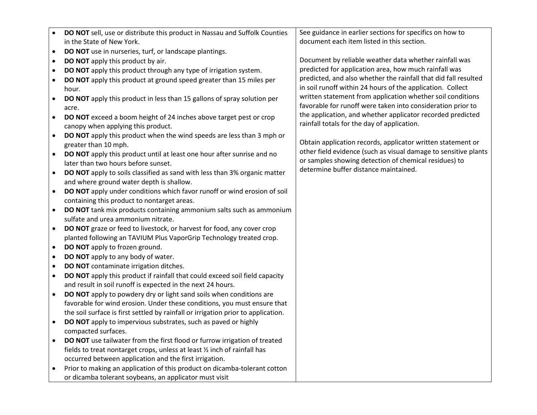| <b>DO NOT</b> sell, use or distribute this product in Nassau and Suffolk Counties |                           |
|-----------------------------------------------------------------------------------|---------------------------|
|                                                                                   | in the State of New York. |

- **DO NOT** use in nurseries, turf, or landscape plantings.
- **DO NOT** apply this product by air.
- **DO NOT** apply this product through any type of irrigation system.
- **DO NOT** apply this product at ground speed greater than 15 miles per hour.
- **DO NOT** apply this product in less than 15 gallons of spray solution per acre.
- **DO NOT** exceed a boom height of 24 inches above target pest or crop canopy when applying this product.
- **DO NOT** apply this product when the wind speeds are less than 3 mph or greater than 10 mph.
- **DO NOT** apply this product until at least one hour after sunrise and no later than two hours before sunset.
- **DO NOT** apply to soils classified as sand with less than 3% organic matter and where ground water depth is shallow.
- **DO NOT** apply under conditions which favor runoff or wind erosion of soil containing this product to nontarget areas.
- **DO NOT** tank mix products containing ammonium salts such as ammonium sulfate and urea ammonium nitrate.
- **DO NOT** graze or feed to livestock, or harvest for food, any cover crop planted following an TAVIUM Plus VaporGrip Technology treated crop.
- **DO NOT** apply to frozen ground.
- **DO NOT** apply to any body of water.
- **DO NOT** contaminate irrigation ditches.
- **DO NOT** apply this product if rainfall that could exceed soil field capacity and result in soil runoff is expected in the next 24 hours.
- **DO NOT** apply to powdery dry or light sand soils when conditions are favorable for wind erosion. Under these conditions, you must ensure that the soil surface is first settled by rainfall or irrigation prior to application.
- **DO NOT** apply to impervious substrates, such as paved or highly compacted surfaces.
- **DO NOT** use tailwater from the first flood or furrow irrigation of treated fields to treat nontarget crops, unless at least ½ inch of rainfall has occurred between application and the first irrigation.
- Prior to making an application of this product on dicamba-tolerant cotton or dicamba tolerant soybeans, an applicator must visit

See guidance in earlier sections for specifics on how to document each item listed in this section.

Document by reliable weather data whether rainfall was predicted for application area, how much rainfall was predicted, and also whether the rainfall that did fall resulted in soil runoff within 24 hours of the application. Collect written statement from application whether soil conditions favorable for runoff were taken into consideration prior to the application, and whether applicator recorded predicted rainfall totals for the day of application.

Obtain application records, applicator written statement or other field evidence (such as visual damage to sensitive plants or samples showing detection of chemical residues) to determine buffer distance maintained.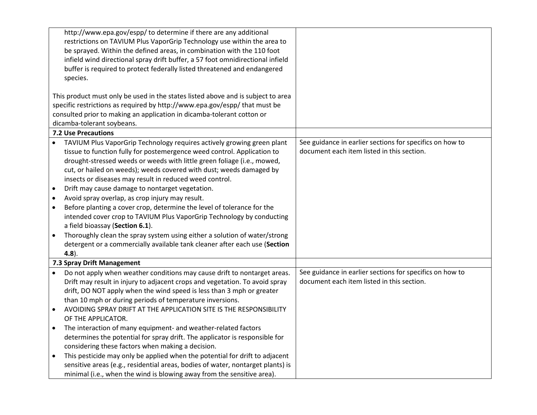|           | http://www.epa.gov/espp/ to determine if there are any additional                |                                                          |
|-----------|----------------------------------------------------------------------------------|----------------------------------------------------------|
|           | restrictions on TAVIUM Plus VaporGrip Technology use within the area to          |                                                          |
|           | be sprayed. Within the defined areas, in combination with the 110 foot           |                                                          |
|           | infield wind directional spray drift buffer, a 57 foot omnidirectional infield   |                                                          |
|           | buffer is required to protect federally listed threatened and endangered         |                                                          |
|           | species.                                                                         |                                                          |
|           |                                                                                  |                                                          |
|           | This product must only be used in the states listed above and is subject to area |                                                          |
|           | specific restrictions as required by http://www.epa.gov/espp/ that must be       |                                                          |
|           | consulted prior to making an application in dicamba-tolerant cotton or           |                                                          |
|           | dicamba-tolerant soybeans.                                                       |                                                          |
|           | <b>7.2 Use Precautions</b>                                                       |                                                          |
|           | TAVIUM Plus VaporGrip Technology requires actively growing green plant           | See guidance in earlier sections for specifics on how to |
|           |                                                                                  | document each item listed in this section.               |
|           | tissue to function fully for postemergence weed control. Application to          |                                                          |
|           | drought-stressed weeds or weeds with little green foliage (i.e., mowed,          |                                                          |
|           | cut, or hailed on weeds); weeds covered with dust; weeds damaged by              |                                                          |
|           | insects or diseases may result in reduced weed control.                          |                                                          |
| ٠         | Drift may cause damage to nontarget vegetation.                                  |                                                          |
| $\bullet$ | Avoid spray overlap, as crop injury may result.                                  |                                                          |
| $\bullet$ | Before planting a cover crop, determine the level of tolerance for the           |                                                          |
|           | intended cover crop to TAVIUM Plus VaporGrip Technology by conducting            |                                                          |
|           | a field bioassay (Section 6.1).                                                  |                                                          |
| $\bullet$ | Thoroughly clean the spray system using either a solution of water/strong        |                                                          |
|           | detergent or a commercially available tank cleaner after each use (Section       |                                                          |
|           | $4.8$ ).                                                                         |                                                          |
|           | 7.3 Spray Drift Management                                                       |                                                          |
| $\bullet$ | Do not apply when weather conditions may cause drift to nontarget areas.         | See guidance in earlier sections for specifics on how to |
|           | Drift may result in injury to adjacent crops and vegetation. To avoid spray      | document each item listed in this section.               |
|           |                                                                                  |                                                          |
|           | drift, DO NOT apply when the wind speed is less than 3 mph or greater            |                                                          |
|           | than 10 mph or during periods of temperature inversions.                         |                                                          |
| $\bullet$ | AVOIDING SPRAY DRIFT AT THE APPLICATION SITE IS THE RESPONSIBILITY               |                                                          |
|           | OF THE APPLICATOR.                                                               |                                                          |
| $\bullet$ | The interaction of many equipment- and weather-related factors                   |                                                          |
|           | determines the potential for spray drift. The applicator is responsible for      |                                                          |
|           | considering these factors when making a decision.                                |                                                          |
| $\bullet$ | This pesticide may only be applied when the potential for drift to adjacent      |                                                          |
|           | sensitive areas (e.g., residential areas, bodies of water, nontarget plants) is  |                                                          |
|           | minimal (i.e., when the wind is blowing away from the sensitive area).           |                                                          |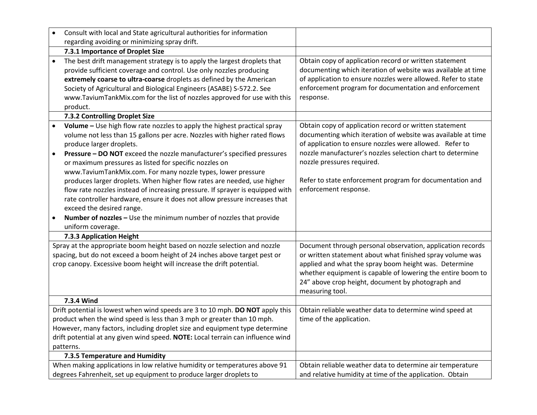|                                                                                                                                                                                                                                  | Consult with local and State agricultural authorities for information                                                                                                                                                                                                                                                                                                                                                                                                                                                                                                                                                                                        |                                                                                                                                                                                                                                                                                                                                                                    |
|----------------------------------------------------------------------------------------------------------------------------------------------------------------------------------------------------------------------------------|--------------------------------------------------------------------------------------------------------------------------------------------------------------------------------------------------------------------------------------------------------------------------------------------------------------------------------------------------------------------------------------------------------------------------------------------------------------------------------------------------------------------------------------------------------------------------------------------------------------------------------------------------------------|--------------------------------------------------------------------------------------------------------------------------------------------------------------------------------------------------------------------------------------------------------------------------------------------------------------------------------------------------------------------|
|                                                                                                                                                                                                                                  | regarding avoiding or minimizing spray drift.                                                                                                                                                                                                                                                                                                                                                                                                                                                                                                                                                                                                                |                                                                                                                                                                                                                                                                                                                                                                    |
|                                                                                                                                                                                                                                  | 7.3.1 Importance of Droplet Size                                                                                                                                                                                                                                                                                                                                                                                                                                                                                                                                                                                                                             |                                                                                                                                                                                                                                                                                                                                                                    |
| $\bullet$                                                                                                                                                                                                                        | The best drift management strategy is to apply the largest droplets that<br>provide sufficient coverage and control. Use only nozzles producing<br>extremely coarse to ultra-coarse droplets as defined by the American<br>Society of Agricultural and Biological Engineers (ASABE) S-572.2. See<br>www.TaviumTankMix.com for the list of nozzles approved for use with this<br>product.                                                                                                                                                                                                                                                                     | Obtain copy of application record or written statement<br>documenting which iteration of website was available at time<br>of application to ensure nozzles were allowed. Refer to state<br>enforcement program for documentation and enforcement<br>response.                                                                                                      |
|                                                                                                                                                                                                                                  | 7.3.2 Controlling Droplet Size                                                                                                                                                                                                                                                                                                                                                                                                                                                                                                                                                                                                                               |                                                                                                                                                                                                                                                                                                                                                                    |
|                                                                                                                                                                                                                                  | Volume - Use high flow rate nozzles to apply the highest practical spray<br>volume not less than 15 gallons per acre. Nozzles with higher rated flows<br>produce larger droplets.<br>Pressure - DO NOT exceed the nozzle manufacturer's specified pressures<br>or maximum pressures as listed for specific nozzles on<br>www.TaviumTankMix.com. For many nozzle types, lower pressure<br>produces larger droplets. When higher flow rates are needed, use higher<br>flow rate nozzles instead of increasing pressure. If sprayer is equipped with<br>rate controller hardware, ensure it does not allow pressure increases that<br>exceed the desired range. | Obtain copy of application record or written statement<br>documenting which iteration of website was available at time<br>of application to ensure nozzles were allowed. Refer to<br>nozzle manufacturer's nozzles selection chart to determine<br>nozzle pressures required.<br>Refer to state enforcement program for documentation and<br>enforcement response. |
|                                                                                                                                                                                                                                  | Number of nozzles - Use the minimum number of nozzles that provide                                                                                                                                                                                                                                                                                                                                                                                                                                                                                                                                                                                           |                                                                                                                                                                                                                                                                                                                                                                    |
|                                                                                                                                                                                                                                  | uniform coverage.                                                                                                                                                                                                                                                                                                                                                                                                                                                                                                                                                                                                                                            |                                                                                                                                                                                                                                                                                                                                                                    |
|                                                                                                                                                                                                                                  | 7.3.3 Application Height                                                                                                                                                                                                                                                                                                                                                                                                                                                                                                                                                                                                                                     |                                                                                                                                                                                                                                                                                                                                                                    |
| Spray at the appropriate boom height based on nozzle selection and nozzle<br>spacing, but do not exceed a boom height of 24 inches above target pest or<br>crop canopy. Excessive boom height will increase the drift potential. |                                                                                                                                                                                                                                                                                                                                                                                                                                                                                                                                                                                                                                                              | Document through personal observation, application records<br>or written statement about what finished spray volume was<br>applied and what the spray boom height was. Determine<br>whether equipment is capable of lowering the entire boom to<br>24" above crop height, document by photograph and<br>measuring tool.                                            |
|                                                                                                                                                                                                                                  | 7.3.4 Wind                                                                                                                                                                                                                                                                                                                                                                                                                                                                                                                                                                                                                                                   |                                                                                                                                                                                                                                                                                                                                                                    |
|                                                                                                                                                                                                                                  | Drift potential is lowest when wind speeds are 3 to 10 mph. DO NOT apply this<br>product when the wind speed is less than 3 mph or greater than 10 mph.<br>However, many factors, including droplet size and equipment type determine<br>drift potential at any given wind speed. NOTE: Local terrain can influence wind<br>patterns.                                                                                                                                                                                                                                                                                                                        | Obtain reliable weather data to determine wind speed at<br>time of the application.                                                                                                                                                                                                                                                                                |
|                                                                                                                                                                                                                                  | 7.3.5 Temperature and Humidity                                                                                                                                                                                                                                                                                                                                                                                                                                                                                                                                                                                                                               |                                                                                                                                                                                                                                                                                                                                                                    |
|                                                                                                                                                                                                                                  | When making applications in low relative humidity or temperatures above 91<br>degrees Fahrenheit, set up equipment to produce larger droplets to                                                                                                                                                                                                                                                                                                                                                                                                                                                                                                             | Obtain reliable weather data to determine air temperature<br>and relative humidity at time of the application. Obtain                                                                                                                                                                                                                                              |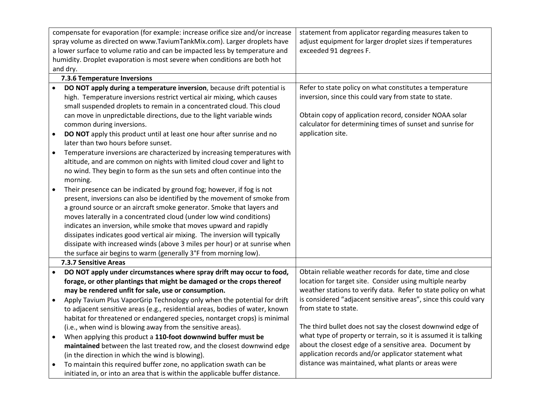| compensate for evaporation (for example: increase orifice size and/or increase |                                                                              | statement from applicator regarding measures taken to            |
|--------------------------------------------------------------------------------|------------------------------------------------------------------------------|------------------------------------------------------------------|
| spray volume as directed on www.TaviumTankMix.com). Larger droplets have       |                                                                              | adjust equipment for larger droplet sizes if temperatures        |
| a lower surface to volume ratio and can be impacted less by temperature and    |                                                                              | exceeded 91 degrees F.                                           |
| humidity. Droplet evaporation is most severe when conditions are both hot      |                                                                              |                                                                  |
| and dry.                                                                       |                                                                              |                                                                  |
|                                                                                | 7.3.6 Temperature Inversions                                                 |                                                                  |
|                                                                                | DO NOT apply during a temperature inversion, because drift potential is      | Refer to state policy on what constitutes a temperature          |
|                                                                                | high. Temperature inversions restrict vertical air mixing, which causes      | inversion, since this could vary from state to state.            |
|                                                                                | small suspended droplets to remain in a concentrated cloud. This cloud       |                                                                  |
|                                                                                | can move in unpredictable directions, due to the light variable winds        | Obtain copy of application record, consider NOAA solar           |
|                                                                                | common during inversions.                                                    | calculator for determining times of sunset and sunrise for       |
| $\bullet$                                                                      | DO NOT apply this product until at least one hour after sunrise and no       | application site.                                                |
|                                                                                | later than two hours before sunset.                                          |                                                                  |
| $\bullet$                                                                      | Temperature inversions are characterized by increasing temperatures with     |                                                                  |
|                                                                                | altitude, and are common on nights with limited cloud cover and light to     |                                                                  |
|                                                                                | no wind. They begin to form as the sun sets and often continue into the      |                                                                  |
|                                                                                | morning.                                                                     |                                                                  |
| $\bullet$                                                                      | Their presence can be indicated by ground fog; however, if fog is not        |                                                                  |
|                                                                                | present, inversions can also be identified by the movement of smoke from     |                                                                  |
|                                                                                | a ground source or an aircraft smoke generator. Smoke that layers and        |                                                                  |
|                                                                                | moves laterally in a concentrated cloud (under low wind conditions)          |                                                                  |
|                                                                                | indicates an inversion, while smoke that moves upward and rapidly            |                                                                  |
|                                                                                | dissipates indicates good vertical air mixing. The inversion will typically  |                                                                  |
|                                                                                | dissipate with increased winds (above 3 miles per hour) or at sunrise when   |                                                                  |
|                                                                                | the surface air begins to warm (generally 3°F from morning low).             |                                                                  |
|                                                                                | 7.3.7 Sensitive Areas                                                        |                                                                  |
|                                                                                | DO NOT apply under circumstances where spray drift may occur to food,        | Obtain reliable weather records for date, time and close         |
|                                                                                | forage, or other plantings that might be damaged or the crops thereof        | location for target site. Consider using multiple nearby         |
|                                                                                | may be rendered unfit for sale, use or consumption.                          | weather stations to verify data. Refer to state policy on what   |
| $\bullet$                                                                      | Apply Tavium Plus VaporGrip Technology only when the potential for drift     | is considered "adjacent sensitive areas", since this could vary  |
|                                                                                | to adjacent sensitive areas (e.g., residential areas, bodies of water, known | from state to state.                                             |
|                                                                                | habitat for threatened or endangered species, nontarget crops) is minimal    |                                                                  |
|                                                                                | (i.e., when wind is blowing away from the sensitive areas).                  | The third bullet does not say the closest downwind edge of       |
| $\bullet$                                                                      | When applying this product a 110-foot downwind buffer must be                | what type of property or terrain, so it is assumed it is talking |
|                                                                                | maintained between the last treated row, and the closest downwind edge       | about the closest edge of a sensitive area. Document by          |
|                                                                                | (in the direction in which the wind is blowing).                             | application records and/or applicator statement what             |
|                                                                                | To maintain this required buffer zone, no application swath can be           | distance was maintained, what plants or areas were               |
|                                                                                | initiated in, or into an area that is within the applicable buffer distance. |                                                                  |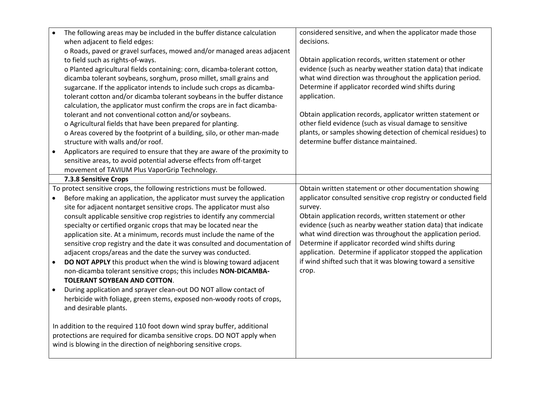| The following areas may be included in the buffer distance calculation<br>$\bullet$     | considered sensitive, and when the applicator made those        |
|-----------------------------------------------------------------------------------------|-----------------------------------------------------------------|
| when adjacent to field edges:                                                           | decisions.                                                      |
| o Roads, paved or gravel surfaces, mowed and/or managed areas adjacent                  |                                                                 |
| to field such as rights-of-ways.                                                        | Obtain application records, written statement or other          |
| o Planted agricultural fields containing: corn, dicamba-tolerant cotton,                | evidence (such as nearby weather station data) that indicate    |
| dicamba tolerant soybeans, sorghum, proso millet, small grains and                      | what wind direction was throughout the application period.      |
| sugarcane. If the applicator intends to include such crops as dicamba-                  | Determine if applicator recorded wind shifts during             |
| tolerant cotton and/or dicamba tolerant soybeans in the buffer distance                 | application.                                                    |
| calculation, the applicator must confirm the crops are in fact dicamba-                 |                                                                 |
| tolerant and not conventional cotton and/or soybeans.                                   | Obtain application records, applicator written statement or     |
| o Agricultural fields that have been prepared for planting.                             | other field evidence (such as visual damage to sensitive        |
| o Areas covered by the footprint of a building, silo, or other man-made                 | plants, or samples showing detection of chemical residues) to   |
| structure with walls and/or roof.                                                       | determine buffer distance maintained.                           |
| Applicators are required to ensure that they are aware of the proximity to<br>$\bullet$ |                                                                 |
| sensitive areas, to avoid potential adverse effects from off-target                     |                                                                 |
| movement of TAVIUM Plus VaporGrip Technology.                                           |                                                                 |
| 7.3.8 Sensitive Crops                                                                   |                                                                 |
| To protect sensitive crops, the following restrictions must be followed.                | Obtain written statement or other documentation showing         |
| Before making an application, the applicator must survey the application                | applicator consulted sensitive crop registry or conducted field |
| site for adjacent nontarget sensitive crops. The applicator must also                   | survey.                                                         |
| consult applicable sensitive crop registries to identify any commercial                 | Obtain application records, written statement or other          |
| specialty or certified organic crops that may be located near the                       | evidence (such as nearby weather station data) that indicate    |
| application site. At a minimum, records must include the name of the                    | what wind direction was throughout the application period.      |
| sensitive crop registry and the date it was consulted and documentation of              | Determine if applicator recorded wind shifts during             |
| adjacent crops/areas and the date the survey was conducted.                             | application. Determine if applicator stopped the application    |
| DO NOT APPLY this product when the wind is blowing toward adjacent<br>$\bullet$         | if wind shifted such that it was blowing toward a sensitive     |
| non-dicamba tolerant sensitive crops; this includes NON-DICAMBA-                        | crop.                                                           |
| TOLERANT SOYBEAN AND COTTON.                                                            |                                                                 |
| During application and sprayer clean-out DO NOT allow contact of<br>$\bullet$           |                                                                 |
| herbicide with foliage, green stems, exposed non-woody roots of crops,                  |                                                                 |
| and desirable plants.                                                                   |                                                                 |
| In addition to the required 110 foot down wind spray buffer, additional                 |                                                                 |
| protections are required for dicamba sensitive crops. DO NOT apply when                 |                                                                 |
| wind is blowing in the direction of neighboring sensitive crops.                        |                                                                 |
|                                                                                         |                                                                 |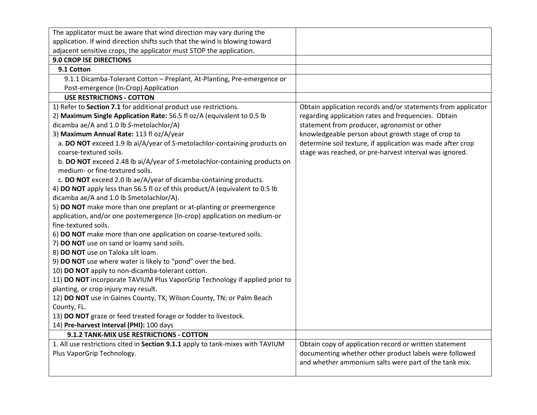| The applicator must be aware that wind direction may vary during the           |                                                              |
|--------------------------------------------------------------------------------|--------------------------------------------------------------|
| application. If wind direction shifts such that the wind is blowing toward     |                                                              |
| adjacent sensitive crops, the applicator must STOP the application.            |                                                              |
| 9.0 CROP ISE DIRECTIONS                                                        |                                                              |
| 9.1 Cotton                                                                     |                                                              |
| 9.1.1 Dicamba-Tolerant Cotton - Preplant, At-Planting, Pre-emergence or        |                                                              |
| Post-emergence (In-Crop) Application                                           |                                                              |
| <b>USE RESTRICTIONS - COTTON</b>                                               |                                                              |
| 1) Refer to Section 7.1 for additional product use restrictions.               | Obtain application records and/or statements from applicator |
| 2) Maximum Single Application Rate: 56.5 fl oz/A (equivalent to 0.5 lb         | regarding application rates and frequencies. Obtain          |
| dicamba ae/A and 1.0 lb S-metolachlor/A)                                       | statement from producer, agronomist or other                 |
| 3) Maximum Annual Rate: 113 fl oz/A/year                                       | knowledgeable person about growth stage of crop to           |
| a. DO NOT exceed 1.9 lb ai/A/year of S-metolachlor-containing products on      | determine soil texture, if application was made after crop   |
| coarse-textured soils.                                                         | stage was reached, or pre-harvest interval was ignored.      |
| b. DO NOT exceed 2.48 lb ai/A/year of S-metolachlor-containing products on     |                                                              |
| medium- or fine-textured soils.                                                |                                                              |
| c. DO NOT exceed 2.0 lb ae/A/year of dicamba-containing products.              |                                                              |
| 4) DO NOT apply less than 56.5 fl oz of this product/A (equivalent to 0.5 lb   |                                                              |
| dicamba ae/A and 1.0 lb Smetolachlor/A).                                       |                                                              |
| 5) DO NOT make more than one preplant or at-planting or preemergence           |                                                              |
| application, and/or one postemergence (In-crop) application on medium-or       |                                                              |
| fine-textured soils.                                                           |                                                              |
| 6) DO NOT make more than one application on coarse-textured soils.             |                                                              |
| 7) DO NOT use on sand or loamy sand soils.                                     |                                                              |
| 8) DO NOT use on Taloka silt loam.                                             |                                                              |
| 9) DO NOT use where water is likely to "pond" over the bed.                    |                                                              |
| 10) DO NOT apply to non-dicamba-tolerant cotton.                               |                                                              |
| 11) DO NOT incorporate TAVIUM Plus VaporGrip Technology if applied prior to    |                                                              |
| planting, or crop injury may result.                                           |                                                              |
| 12) DO NOT use in Gaines County, TX; Wilson County, TN; or Palm Beach          |                                                              |
| County, FL.                                                                    |                                                              |
| 13) DO NOT graze or feed treated forage or fodder to livestock.                |                                                              |
| 14) Pre-harvest Interval (PHI): 100 days                                       |                                                              |
| 9.1.2 TANK-MIX USE RESTRICTIONS - COTTON                                       |                                                              |
| 1. All use restrictions cited in Section 9.1.1 apply to tank-mixes with TAVIUM | Obtain copy of application record or written statement       |
| Plus VaporGrip Technology.                                                     | documenting whether other product labels were followed       |
|                                                                                | and whether ammonium salts were part of the tank mix.        |
|                                                                                |                                                              |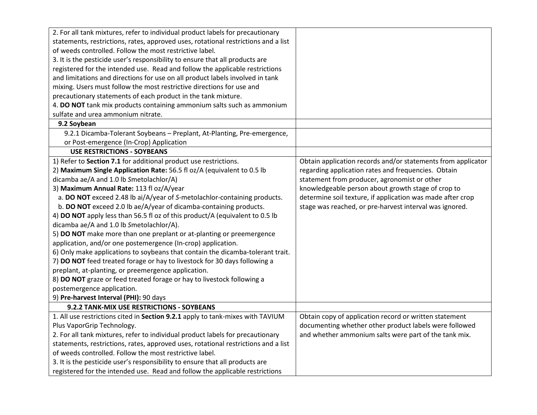| 2. For all tank mixtures, refer to individual product labels for precautionary     |                                                              |
|------------------------------------------------------------------------------------|--------------------------------------------------------------|
| statements, restrictions, rates, approved uses, rotational restrictions and a list |                                                              |
| of weeds controlled. Follow the most restrictive label.                            |                                                              |
| 3. It is the pesticide user's responsibility to ensure that all products are       |                                                              |
| registered for the intended use. Read and follow the applicable restrictions       |                                                              |
| and limitations and directions for use on all product labels involved in tank      |                                                              |
| mixing. Users must follow the most restrictive directions for use and              |                                                              |
| precautionary statements of each product in the tank mixture.                      |                                                              |
| 4. DO NOT tank mix products containing ammonium salts such as ammonium             |                                                              |
| sulfate and urea ammonium nitrate.                                                 |                                                              |
| 9.2 Soybean                                                                        |                                                              |
| 9.2.1 Dicamba-Tolerant Soybeans - Preplant, At-Planting, Pre-emergence,            |                                                              |
| or Post-emergence (In-Crop) Application                                            |                                                              |
| <b>USE RESTRICTIONS - SOYBEANS</b>                                                 |                                                              |
| 1) Refer to Section 7.1 for additional product use restrictions.                   | Obtain application records and/or statements from applicator |
| 2) Maximum Single Application Rate: 56.5 fl oz/A (equivalent to 0.5 lb             | regarding application rates and frequencies. Obtain          |
| dicamba ae/A and 1.0 lb Smetolachlor/A)                                            | statement from producer, agronomist or other                 |
| 3) Maximum Annual Rate: 113 fl oz/A/year                                           | knowledgeable person about growth stage of crop to           |
| a. DO NOT exceed 2.48 lb ai/A/year of S-metolachlor-containing products.           | determine soil texture, if application was made after crop   |
| b. DO NOT exceed 2.0 lb ae/A/year of dicamba-containing products.                  | stage was reached, or pre-harvest interval was ignored.      |
| 4) DO NOT apply less than 56.5 fl oz of this product/A (equivalent to 0.5 lb       |                                                              |
| dicamba ae/A and 1.0 lb Smetolachlor/A).                                           |                                                              |
| 5) DO NOT make more than one preplant or at-planting or preemergence               |                                                              |
| application, and/or one postemergence (In-crop) application.                       |                                                              |
| 6) Only make applications to soybeans that contain the dicamba-tolerant trait.     |                                                              |
| 7) DO NOT feed treated forage or hay to livestock for 30 days following a          |                                                              |
| preplant, at-planting, or preemergence application.                                |                                                              |
| 8) DO NOT graze or feed treated forage or hay to livestock following a             |                                                              |
| postemergence application.                                                         |                                                              |
| 9) Pre-harvest Interval (PHI): 90 days                                             |                                                              |
| 9.2.2 TANK-MIX USE RESTRICTIONS - SOYBEANS                                         |                                                              |
| 1. All use restrictions cited in Section 9.2.1 apply to tank-mixes with TAVIUM     | Obtain copy of application record or written statement       |
| Plus VaporGrip Technology.                                                         | documenting whether other product labels were followed       |
| 2. For all tank mixtures, refer to individual product labels for precautionary     | and whether ammonium salts were part of the tank mix.        |
| statements, restrictions, rates, approved uses, rotational restrictions and a list |                                                              |
| of weeds controlled. Follow the most restrictive label.                            |                                                              |
| 3. It is the pesticide user's responsibility to ensure that all products are       |                                                              |
| registered for the intended use. Read and follow the applicable restrictions       |                                                              |